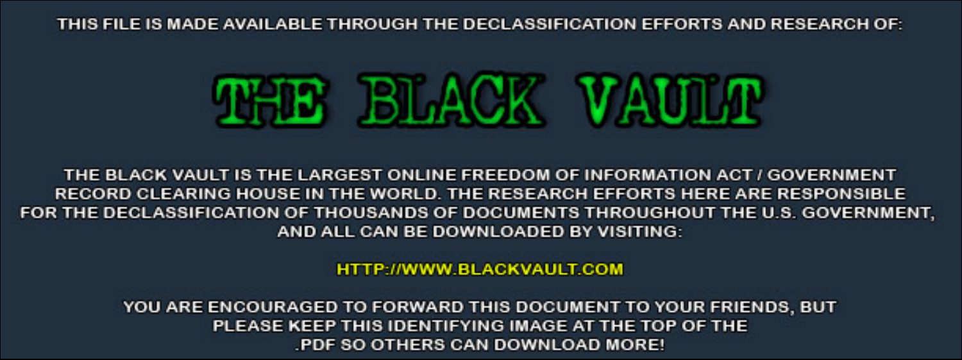THIS FILE IS MADE AVAILABLE THROUGH THE DECLASSIFICATION EFFORTS AND RESEARCH OF:



THE BLACK VAULT IS THE LARGEST ONLINE FREEDOM OF INFORMATION ACT / GOVERNMENT RECORD CLEARING HOUSE IN THE WORLD. THE RESEARCH EFFORTS HERE ARE RESPONSIBLE FOR THE DECLASSIFICATION OF THOUSANDS OF DOCUMENTS THROUGHOUT THE U.S. GOVERNMENT, AND ALL CAN BE DOWNLOADED BY VISITING:

**HTTP://WWW.BLACKVAULT.COM** 

YOU ARE ENCOURAGED TO FORWARD THIS DOCUMENT TO YOUR FRIENDS, BUT PLEASE KEEP THIS IDENTIFYING IMAGE AT THE TOP OF THE PDF SO OTHERS CAN DOWNLOAD MORE!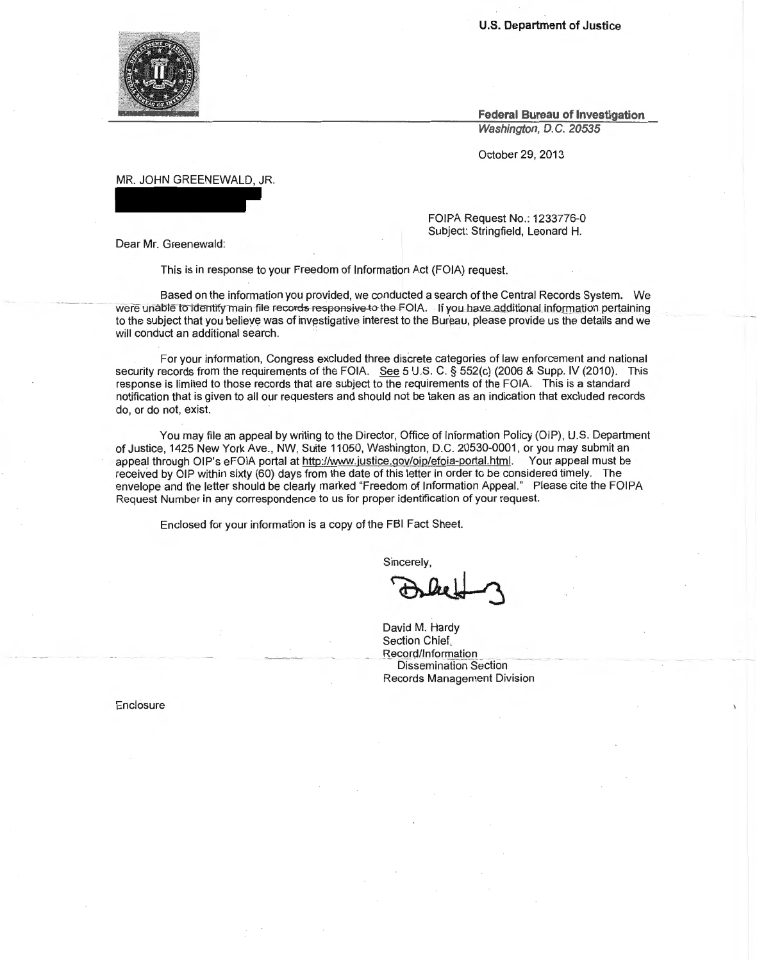**U.S. Department of Justice** 



**Federal Bureau of Investigation**  Washington, D.C. 20535

October 29, 2013

## MR. JOHN GREENEWALD, JR.

FOIPA Request No.: 1233776-0 Subject: Stringfield, Leonard **H.** 

Dear Mr. Greenewald:

This is in response to your Freedom of Information Act (FOIA) request.

Based on the information you provided, we conducted a search of the Central Records System. We were unable to identify main file records-responsive to the FOIA. If you have additional information pertaining to the subject that you believe was of investigative interest to the Bureau, please provide us the details and we will conduct an additional search.

For your information, Congress excluded three discrete categories of law enforcement and national security records from the requirements of the FOIA. See 5 U.S. C. § 552(c) (2006 & Supp. IV (2010). This response is limited to those records that are subject to the requirements of the FOIA. This is a standard notification that is given to all our requesters and should not be taken as an indication that excluded records do, or do not, exist.

You may file an appeal by writing to the Director, Office of Information Policy (OIP), U.S. Department of Justice, 1425 New York Ave. , NW, Suite 11050, Washington, D.C. 20530-0001, or you may submit an appeal through OIP's eFOIA portal at http://www.justice.gov/oip/efoia-portal.html. Your appeal must be received by OIP within sixty (60) days from the date of this letter in order to be considered timely. The envelope and the letter should be clearly marked "Freedom of Information Appeal." Please cite the FOIPA Request Number in any correspondence to us for proper identification of your request.

Enclosed for your information is a copy of the FBI Fact Sheet.

Sincerely,

incerely,

David M. Hardy Section Chief. Record/Information Dissemination Section Records Management Division

**Enclosure**